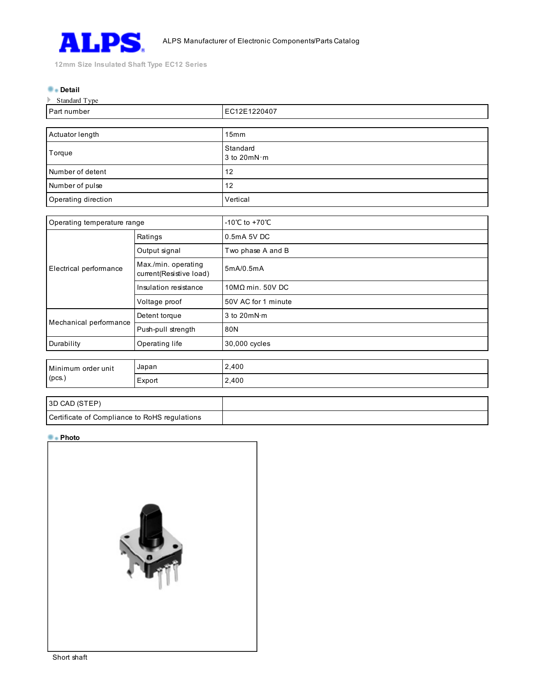

12mm Size Insulated Shaft Type EC12 Series

#### **Detail**

| Standard Type       |                           |  |
|---------------------|---------------------------|--|
| Part number         | EC12E1220407              |  |
|                     |                           |  |
| Actuator length     | 15mm                      |  |
| Torque              | Standard<br>3 to $20mN·m$ |  |
| Number of detent    | 12                        |  |
| Number of pulse     | 12                        |  |
| Operating direction | Vertical                  |  |

| Operating temperature range  |                                               | -10°C to +70°C          |
|------------------------------|-----------------------------------------------|-------------------------|
| Electrical performance       | Ratings                                       | 0.5mA 5V DC             |
|                              | Output signal                                 | Two phase A and B       |
|                              | Max/min. operating<br>current(Resistive load) | 5mA/0.5mA               |
|                              | Insulation resistance                         | $10M\Omega$ min. 50V DC |
|                              | Voltage proof                                 | 50V AC for 1 minute     |
| Mechanical performance       | Detent torque                                 | 3 to $20mN·m$           |
|                              | Push-pull strength                            | 80N                     |
| Durability                   | Operating life                                | 30,000 cycles           |
|                              |                                               |                         |
| Minimum order unit<br>(pcs.) | Japan                                         | 2,400                   |
|                              | Export                                        | 2,400                   |
|                              |                                               |                         |

# 3D CAD (STEP) Certificate of Compliance to RoHS regulations

## **Photo**

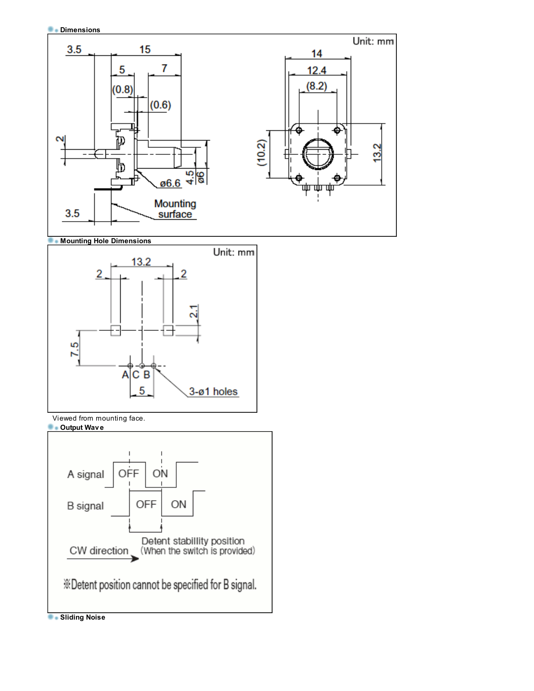







Viewed from mounting face.